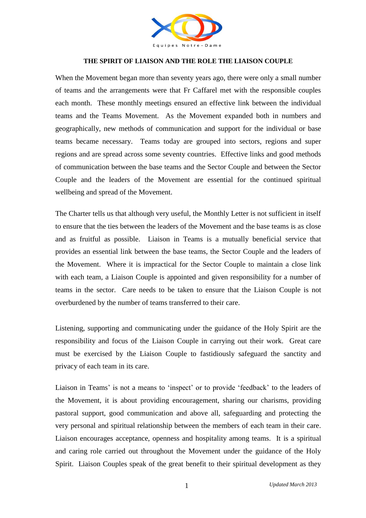

## **THE SPIRIT OF LIAISON AND THE ROLE THE LIAISON COUPLE**

When the Movement began more than seventy years ago, there were only a small number of teams and the arrangements were that Fr Caffarel met with the responsible couples each month. These monthly meetings ensured an effective link between the individual teams and the Teams Movement. As the Movement expanded both in numbers and geographically, new methods of communication and support for the individual or base teams became necessary. Teams today are grouped into sectors, regions and super regions and are spread across some seventy countries. Effective links and good methods of communication between the base teams and the Sector Couple and between the Sector Couple and the leaders of the Movement are essential for the continued spiritual wellbeing and spread of the Movement.

The Charter tells us that although very useful, the Monthly Letter is not sufficient in itself to ensure that the ties between the leaders of the Movement and the base teams is as close and as fruitful as possible. Liaison in Teams is a mutually beneficial service that provides an essential link between the base teams, the Sector Couple and the leaders of the Movement. Where it is impractical for the Sector Couple to maintain a close link with each team, a Liaison Couple is appointed and given responsibility for a number of teams in the sector. Care needs to be taken to ensure that the Liaison Couple is not overburdened by the number of teams transferred to their care.

Listening, supporting and communicating under the guidance of the Holy Spirit are the responsibility and focus of the Liaison Couple in carrying out their work. Great care must be exercised by the Liaison Couple to fastidiously safeguard the sanctity and privacy of each team in its care.

Liaison in Teams' is not a means to 'inspect' or to provide 'feedback' to the leaders of the Movement, it is about providing encouragement, sharing our charisms, providing pastoral support, good communication and above all, safeguarding and protecting the very personal and spiritual relationship between the members of each team in their care. Liaison encourages acceptance, openness and hospitality among teams. It is a spiritual and caring role carried out throughout the Movement under the guidance of the Holy Spirit. Liaison Couples speak of the great benefit to their spiritual development as they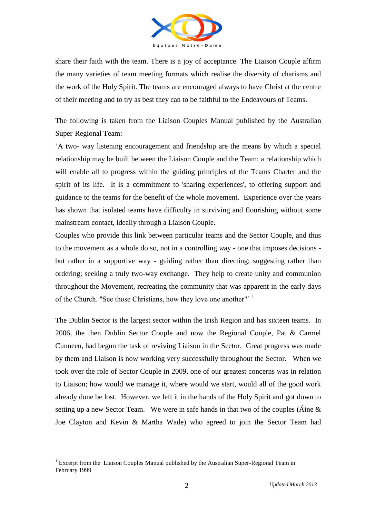

share their faith with the team. There is a joy of acceptance. The Liaison Couple affirm the many varieties of team meeting formats which realise the diversity of charisms and the work of the Holy Spirit. The teams are encouraged always to have Christ at the centre of their meeting and to try as best they can to be faithful to the Endeavours of Teams.

The following is taken from the Liaison Couples Manual published by the Australian Super-Regional Team:

'A two- way listening encouragement and friendship are the means by which a special relationship may be built between the Liaison Couple and the Team; a relationship which will enable all to progress within the guiding principles of the Teams Charter and the spirit of its life. It is a commitment to 'sharing experiences', to offering support and guidance to the teams for the benefit of the whole movement. Experience over the years has shown that isolated teams have difficulty in surviving and flourishing without some mainstream contact, ideally through a Liaison Couple.

Couples who provide this link between particular teams and the Sector Couple, and thus to the movement as a whole do so, not in a controlling *w*ay *-* one that imposes decisions but rather in a supportive way - guiding rather than directing; suggesting rather than ordering; seeking a truly two-way exchange. They help to create unity and communion throughout the Movement, recreating the community that was apparent in the early days of the Church. "See those Christians, how they love one another"<sup>1</sup>

The Dublin Sector is the largest sector within the Irish Region and has sixteen teams. In 2006, the then Dublin Sector Couple and now the Regional Couple, Pat & Carmel Cunneen, had begun the task of reviving Liaison in the Sector. Great progress was made by them and Liaison is now working very successfully throughout the Sector. When we took over the role of Sector Couple in 2009, one of our greatest concerns was in relation to Liaison; how would we manage it, where would we start, would all of the good work already done be lost. However, we left it in the hands of the Holy Spirit and got down to setting up a new Sector Team. We were in safe hands in that two of the couples (Áine & Joe Clayton and Kevin & Martha Wade) who agreed to join the Sector Team had

1

<sup>&</sup>lt;sup>1</sup> Excerpt from the Liaison Couples Manual published by the Australian Super-Regional Team in February 1999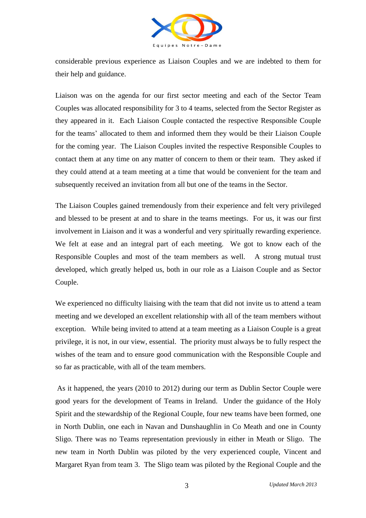

considerable previous experience as Liaison Couples and we are indebted to them for their help and guidance.

Liaison was on the agenda for our first sector meeting and each of the Sector Team Couples was allocated responsibility for 3 to 4 teams, selected from the Sector Register as they appeared in it. Each Liaison Couple contacted the respective Responsible Couple for the teams' allocated to them and informed them they would be their Liaison Couple for the coming year. The Liaison Couples invited the respective Responsible Couples to contact them at any time on any matter of concern to them or their team. They asked if they could attend at a team meeting at a time that would be convenient for the team and subsequently received an invitation from all but one of the teams in the Sector.

The Liaison Couples gained tremendously from their experience and felt very privileged and blessed to be present at and to share in the teams meetings. For us, it was our first involvement in Liaison and it was a wonderful and very spiritually rewarding experience. We felt at ease and an integral part of each meeting. We got to know each of the Responsible Couples and most of the team members as well. A strong mutual trust developed, which greatly helped us, both in our role as a Liaison Couple and as Sector Couple.

We experienced no difficulty liaising with the team that did not invite us to attend a team meeting and we developed an excellent relationship with all of the team members without exception. While being invited to attend at a team meeting as a Liaison Couple is a great privilege, it is not, in our view, essential. The priority must always be to fully respect the wishes of the team and to ensure good communication with the Responsible Couple and so far as practicable, with all of the team members.

As it happened, the years (2010 to 2012) during our term as Dublin Sector Couple were good years for the development of Teams in Ireland. Under the guidance of the Holy Spirit and the stewardship of the Regional Couple, four new teams have been formed, one in North Dublin, one each in Navan and Dunshaughlin in Co Meath and one in County Sligo. There was no Teams representation previously in either in Meath or Sligo. The new team in North Dublin was piloted by the very experienced couple, Vincent and Margaret Ryan from team 3. The Sligo team was piloted by the Regional Couple and the